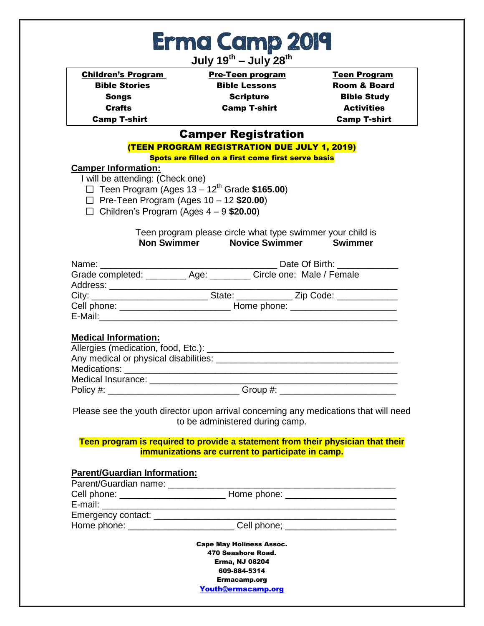| Erma Camp 2019 |  |
|----------------|--|
|                |  |

**July 19th – July 28th**

| <b>Children's Program</b>  | <b>Pre-Teen program</b>                                   | <b>Teen Program</b>     |
|----------------------------|-----------------------------------------------------------|-------------------------|
| <b>Bible Stories</b>       | <b>Bible Lessons</b>                                      | <b>Room &amp; Board</b> |
| <b>Songs</b>               | <b>Scripture</b>                                          | <b>Bible Study</b>      |
| <b>Crafts</b>              | <b>Camp T-shirt</b>                                       | <b>Activities</b>       |
| <b>Camp T-shirt</b>        |                                                           | <b>Camp T-shirt</b>     |
|                            | <b>Camper Registration</b>                                |                         |
|                            | <b>(TEEN PROGRAM REGISTRATION DUE JULY 1, 2019)</b>       |                         |
|                            | <b>Spots are filled on a first come first serve basis</b> |                         |
| <b>Camper Information:</b> |                                                           |                         |

I will be attending: (Check one)

Teen Program (Ages 13 – 12th Grade **\$165.00**)

- Pre-Teen Program (Ages 10 12 **\$20.00**)
- Children's Program (Ages 4 9 **\$20.00**)

## Teen program please circle what type swimmer your child is **Non Swimmer Novice Swimmer Swimmer**

|                      | Date Of Birth: <u>New York Bate Of Birth:</u>                          |
|----------------------|------------------------------------------------------------------------|
|                      | Grade completed: ___________ Age: __________ Circle one: Male / Female |
| Address: ___________ |                                                                        |
|                      | __ State: ___________ Zip Code: _________                              |
|                      |                                                                        |
| E-Mail:              |                                                                        |
|                      |                                                                        |

### **Medical Information:**

| Medications: Network of the state of the state of the state of the state of the state of the state of the state of the state of the state of the state of the state of the state of the state of the state of the state of the |                                                                                                                 |
|--------------------------------------------------------------------------------------------------------------------------------------------------------------------------------------------------------------------------------|-----------------------------------------------------------------------------------------------------------------|
| Medical Insurance: Medical Insurance:                                                                                                                                                                                          |                                                                                                                 |
| Policy #:                                                                                                                                                                                                                      | Group #: will be a series of the series of the series of the series of the series of the series of the series o |

Please see the youth director upon arrival concerning any medications that will need to be administered during camp.

### **Teen program is required to provide a statement from their physician that their immunizations are current to participate in camp.**

| <b>Cape May Holiness Assoc.</b>     |
|-------------------------------------|
| 470 Seashore Road.                  |
| <b>Erma, NJ 08204</b>               |
| 609-884-5314<br><b>Ermacamp.org</b> |
| Youth@ermacamp.org                  |
|                                     |